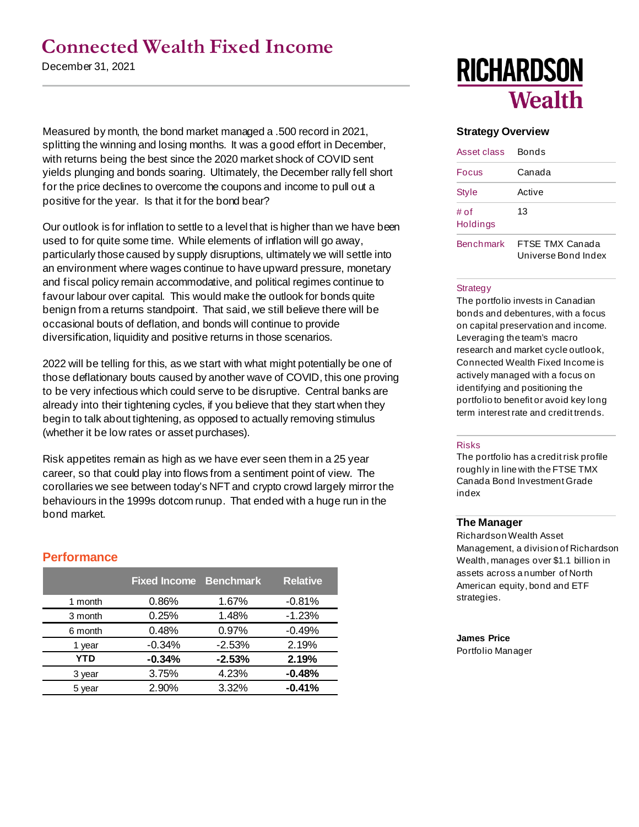## **Connected Wealth Fixed Income**

December 31, 2021

Measured by month, the bond market managed a .500 record in 2021, splitting the winning and losing months. It was a good effort in December, with returns being the best since the 2020 market shock of COVID sent yields plunging and bonds soaring. Ultimately, the December rally fell short for the price declines to overcome the coupons and income to pull out a positive for the year. Is that it for the bond bear?

Our outlook is for inflation to settle to a level that is higher than we have been used to for quite some time. While elements of inflation will go away, particularly those caused by supply disruptions, ultimately we will settle into an environment where wages continue to have upward pressure, monetary and fiscal policy remain accommodative, and political regimes continue to favour labour over capital. This would make the outlook for bonds quite benign from a returns standpoint. That said, we still believe there will be occasional bouts of deflation, and bonds will continue to provide diversification, liquidity and positive returns in those scenarios.

2022 will be telling for this, as we start with what might potentially be one of those deflationary bouts caused by another wave of COVID, this one proving to be very infectious which could serve to be disruptive. Central banks are already into their tightening cycles, if you believe that they start when they begin to talk about tightening, as opposed to actually removing stimulus (whether it be low rates or asset purchases).

Risk appetites remain as high as we have ever seen them in a 25 year career, so that could play into flows from a sentiment point of view. The corollaries we see between today's NFT and crypto crowd largely mirror the behaviours in the 1999s dotcom runup. That ended with a huge run in the bond market.

### **Performance**

|         | <b>Fixed Income Benchmark</b> |          | <b>Relative</b> |
|---------|-------------------------------|----------|-----------------|
| 1 month | 0.86%                         | 1.67%    | $-0.81%$        |
| 3 month | 0.25%                         | 1.48%    | $-1.23%$        |
| 6 month | 0.48%                         | 0.97%    | $-0.49%$        |
| 1 year  | $-0.34%$                      | $-2.53%$ | 2.19%           |
| YTD     | $-0.34%$                      | $-2.53%$ | 2.19%           |
| 3 year  | 3.75%                         | 4.23%    | $-0.48%$        |
| 5 year  | 2.90%                         | 3.32%    | $-0.41%$        |

# **RICHARDSON Wealth**

#### **Strategy Overview**

| Asset class      | Bonds                                  |
|------------------|----------------------------------------|
| Focus            | Canada                                 |
| Style            | Active                                 |
| # of<br>Holdings | 13                                     |
| <b>Benchmark</b> | FTSF TMX Canada<br>Universe Bond Index |

#### **Strategy**

The portfolio invests in Canadian bonds and debentures, with a focus on capital preservation and income. Leveraging the team's macro research and market cycle outlook, Connected Wealth Fixed Income is actively managed with a focus on identifying and positioning the portfolio to benefit or avoid key long term interest rate and credit trends.

#### Risks

The portfolio has a credit risk profile roughly in line with the FTSE TMX Canada Bond Investment Grade index

#### **The Manager**

Richardson Wealth Asset Management, a division of Richardson Wealth, manages over \$1.1 billion in assets across a number of North American equity, bond and ETF strategies.

### **James Price**

Portfolio Manager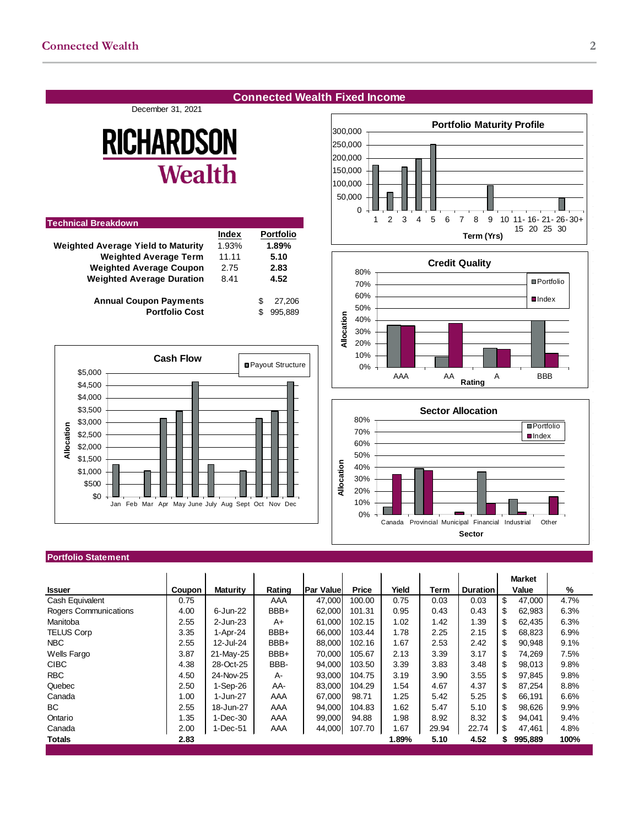#### **Connected Wealth Fixed Income**

December 31, 2021

# **RICHARDSON Wealth**

| <b>Technical Breakdown</b>                |       |             |
|-------------------------------------------|-------|-------------|
|                                           | Index | Portfolio   |
| <b>Weighted Average Yield to Maturity</b> | 1.93% | 1.89%       |
| <b>Weighted Average Term</b>              | 11.11 | 5.10        |
| <b>Weighted Average Coupon</b>            | 2.75  | 2.83        |
| <b>Weighted Average Duration</b>          | 8.41  | 4.52        |
| <b>Annual Coupon Payments</b>             |       | 27.206<br>S |
| <b>Portfolio Cost</b>                     |       | 995.889     |



#### **Portfolio Statement**

|                       |        |                 |        |                  |              |       |       |                 | <b>Market</b> |      |
|-----------------------|--------|-----------------|--------|------------------|--------------|-------|-------|-----------------|---------------|------|
| <b>Issuer</b>         | Coupon | <b>Maturity</b> | Rating | <b>Par Value</b> | <b>Price</b> | Yield | Term  | <b>Duration</b> | Value         | %    |
| Cash Equivalent       | 0.75   |                 | AAA    | 47,000           | 100.00       | 0.75  | 0.03  | 0.03            | \$<br>47.000  | 4.7% |
| Rogers Communications | 4.00   | 6-Jun-22        | BBB+   | 62,000           | 101.31       | 0.95  | 0.43  | 0.43            | \$<br>62,983  | 6.3% |
| Manitoba              | 2.55   | 2-Jun-23        | $A+$   | 61,000           | 102.15       | 1.02  | 1.42  | 1.39            | \$<br>62,435  | 6.3% |
| <b>TELUS Corp</b>     | 3.35   | 1-Apr-24        | BBB+   | 66,000           | 103.44       | 1.78  | 2.25  | 2.15            | \$<br>68,823  | 6.9% |
| <b>NBC</b>            | 2.55   | 12-Jul-24       | BBB+   | 88,000           | 102.16       | 1.67  | 2.53  | 2.42            | \$<br>90.948  | 9.1% |
| Wells Fargo           | 3.87   | 21-May-25       | BBB+   | 70,000           | 105.67       | 2.13  | 3.39  | 3.17            | \$<br>74.269  | 7.5% |
| <b>CIBC</b>           | 4.38   | 28-Oct-25       | BBB-   | 94,000           | 103.50       | 3.39  | 3.83  | 3.48            | \$<br>98.013  | 9.8% |
| <b>RBC</b>            | 4.50   | 24-Nov-25       | A-     | 93,000           | 104.75       | 3.19  | 3.90  | 3.55            | \$<br>97.845  | 9.8% |
| Quebec                | 2.50   | $1-Sep-26$      | AA-    | 83,000           | 104.29       | 1.54  | 4.67  | 4.37            | \$<br>87,254  | 8.8% |
| Canada                | 1.00   | 1-Jun-27        | AAA    | 67,000           | 98.71        | 1.25  | 5.42  | 5.25            | \$.<br>66,191 | 6.6% |
| BC.                   | 2.55   | 18-Jun-27       | AAA    | 94,000           | 104.83       | 1.62  | 5.47  | 5.10            | \$<br>98.626  | 9.9% |
| Ontario               | 1.35   | 1-Dec-30        | AAA    | 99,000           | 94.88        | 1.98  | 8.92  | 8.32            | \$<br>94,041  | 9.4% |
| Canada                | 2.00   | 1-Dec-51        | AAA    | 44,000           | 107.70       | 1.67  | 29.94 | 22.74           | 47,461        | 4.8% |
| <b>Totals</b>         | 2.83   |                 |        |                  |              | 1.89% | 5.10  | 4.52            | 995,889<br>S. | 100% |
|                       |        |                 |        |                  |              |       |       |                 |               |      |